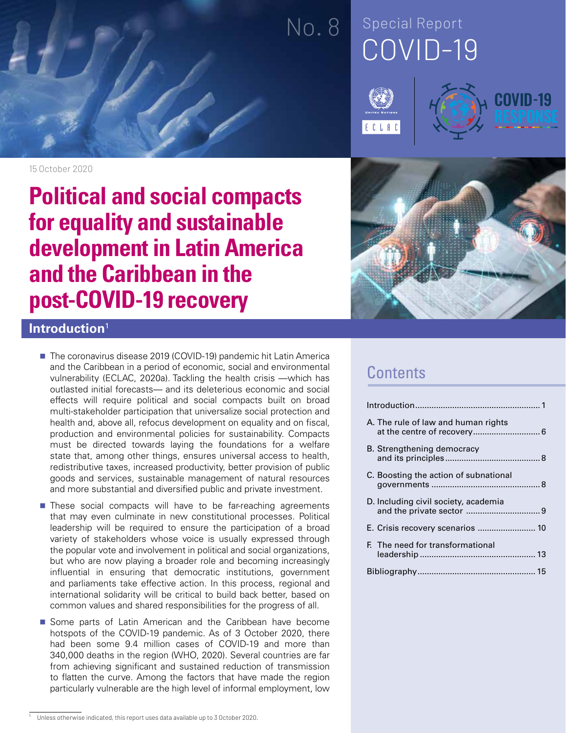# COVID-19 No. 8 Special Report







15 October 2020

## **Political and social compacts for equality and sustainable development in Latin America and the Caribbean in the post-COVID-19 recovery**



### **Introduction**<sup>1</sup>

- The coronavirus disease 2019 (COVID-19) pandemic hit Latin America and the Caribbean in a period of economic, social and environmental vulnerability (ECLAC, 2020a). Tackling the health crisis —which has outlasted initial forecasts— and its deleterious economic and social effects will require political and social compacts built on broad multi-stakeholder participation that universalize social protection and health and, above all, refocus development on equality and on fiscal, production and environmental policies for sustainability. Compacts must be directed towards laying the foundations for a welfare state that, among other things, ensures universal access to health, redistributive taxes, increased productivity, better provision of public goods and services, sustainable management of natural resources and more substantial and diversified public and private investment.
- **These social compacts will have to be far-reaching agreements** that may even culminate in new constitutional processes. Political leadership will be required to ensure the participation of a broad variety of stakeholders whose voice is usually expressed through the popular vote and involvement in political and social organizations, but who are now playing a broader role and becoming increasingly influential in ensuring that democratic institutions, government and parliaments take effective action. In this process, regional and international solidarity will be critical to build back better, based on common values and shared responsibilities for the progress of all.
- Some parts of Latin American and the Caribbean have become hotspots of the COVID-19 pandemic. As of 3 October 2020, there had been some 9.4 million cases of COVID-19 and more than 340,000 deaths in the region (WHO, 2020). Several countries are far from achieving significant and sustained reduction of transmission to flatten the curve. Among the factors that have made the region particularly vulnerable are the high level of informal employment, low

### **Contents**

| A. The rule of law and human rights   |
|---------------------------------------|
| B. Strengthening democracy            |
| C. Boosting the action of subnational |
| D. Including civil society, academia  |
| E. Crisis recovery scenarios  10      |
| F. The need for transformational      |
|                                       |

 $\overline{1}$  Unless otherwise indicated, this report uses data available up to 3 October 2020.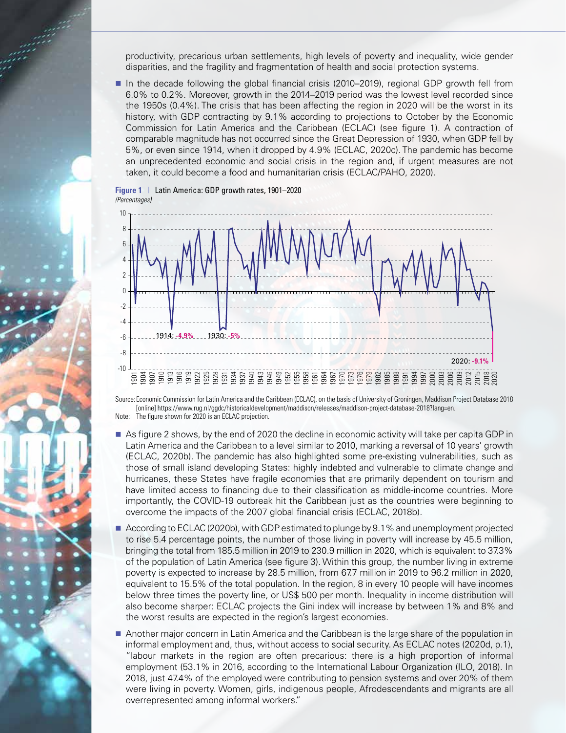productivity, precarious urban settlements, high levels of poverty and inequality, wide gender disparities, and the fragility and fragmentation of health and social protection systems.

In the decade following the global financial crisis (2010–2019), regional GDP growth fell from 6.0% to 0.2%. Moreover, growth in the 2014–2019 period was the lowest level recorded since the 1950s (0.4%). The crisis that has been affecting the region in 2020 will be the worst in its history, with GDP contracting by 9.1% according to projections to October by the Economic Commission for Latin America and the Caribbean (ECLAC) (see figure 1). A contraction of comparable magnitude has not occurred since the Great Depression of 1930, when GDP fell by 5%, or even since 1914, when it dropped by 4.9% (ECLAC, 2020c). The pandemic has become an unprecedented economic and social crisis in the region and, if urgent measures are not taken, it could become a food and humanitarian crisis (ECLAC/PAHO, 2020).



Source: Economic Commission for Latin America and the Caribbean (ECLAC), on the basis of University of Groningen, Maddison Project Database 2018 [online] https://www.rug.nl/ggdc/historicaldevelopment/maddison/releases/maddison-project-database-2018?lang=en.

Note: The figure shown for 2020 is an ECLAC projection.

**Figure 1** | Latin America: GDP growth rates, 1901–2020

- As figure 2 shows, by the end of 2020 the decline in economic activity will take per capita GDP in Latin America and the Caribbean to a level similar to 2010, marking a reversal of 10 years' growth (ECLAC, 2020b). The pandemic has also highlighted some pre-existing vulnerabilities, such as those of small island developing States: highly indebted and vulnerable to climate change and hurricanes, these States have fragile economies that are primarily dependent on tourism and have limited access to financing due to their classification as middle-income countries. More importantly, the COVID-19 outbreak hit the Caribbean just as the countries were beginning to overcome the impacts of the 2007 global financial crisis (ECLAC, 2018b).
- According to ECLAC (2020b), with GDP estimated to plunge by 9.1% and unemployment projected to rise 5.4 percentage points, the number of those living in poverty will increase by 45.5 million, bringing the total from 185.5 million in 2019 to 230.9 million in 2020, which is equivalent to 37.3% of the population of Latin America (see figure 3). Within this group, the number living in extreme poverty is expected to increase by 28.5 million, from 67.7 million in 2019 to 96.2 million in 2020, equivalent to 15.5% of the total population. In the region, 8 in every 10 people will have incomes below three times the poverty line, or US\$ 500 per month. Inequality in income distribution will also become sharper: ECLAC projects the Gini index will increase by between 1% and 8% and the worst results are expected in the region's largest economies.
- Another major concern in Latin America and the Caribbean is the large share of the population in informal employment and, thus, without access to social security. As ECLAC notes (2020d, p.1), "labour markets in the region are often precarious: there is a high proportion of informal employment (53.1% in 2016, according to the International Labour Organization (ILO, 2018). In 2018, just 47.4% of the employed were contributing to pension systems and over 20% of them were living in poverty. Women, girls, indigenous people, Afrodescendants and migrants are all overrepresented among informal workers."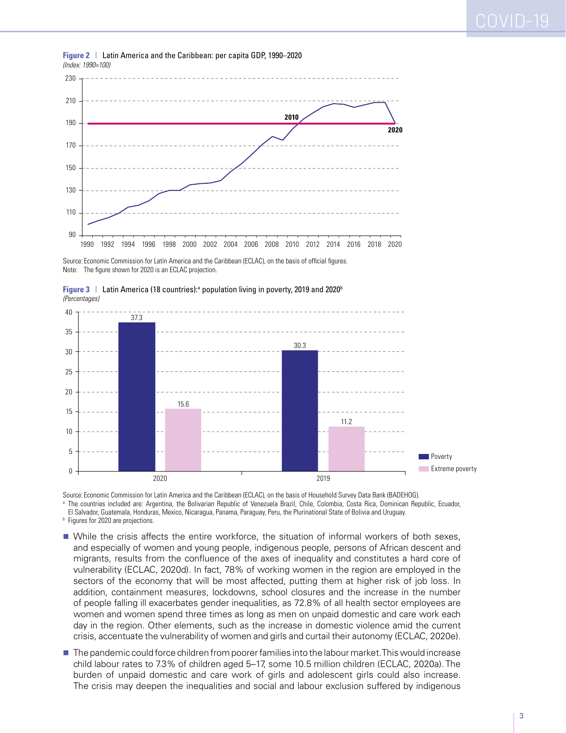

**Figure 2** | Latin America and the Caribbean: per capita GDP, 1990–2020 *(Index: 1990=100)*

Source: Economic Commission for Latin America and the Caribbean (ECLAC), on the basis of official figures. Note: The figure shown for 2020 is an ECLAC projection.





Source: Economic Commission for Latin America and the Caribbean (ECLAC), on the basis of Household Survey Data Bank (BADEHOG).

a The countries included are: Argentina, the Bolivarian Republic of Venezuela Brazil, Chile, Colombia, Costa Rica, Dominican Republic, Ecuador, El Salvador, Guatemala, Honduras, Mexico, Nicaragua, Panama, Paraguay, Peru, the Plurinational State of Bolivia and Uruguay.

**b** Figures for 2020 are projections.

- While the crisis affects the entire workforce, the situation of informal workers of both sexes, and especially of women and young people, indigenous people, persons of African descent and migrants, results from the confluence of the axes of inequality and constitutes a hard core of vulnerability (ECLAC, 2020d). In fact, 78% of working women in the region are employed in the sectors of the economy that will be most affected, putting them at higher risk of job loss. In addition, containment measures, lockdowns, school closures and the increase in the number of people falling ill exacerbates gender inequalities, as 72.8% of all health sector employees are women and women spend three times as long as men on unpaid domestic and care work each day in the region. Other elements, such as the increase in domestic violence amid the current crisis, accentuate the vulnerability of women and girls and curtail their autonomy (ECLAC, 2020e).
- **The pandemic could force children from poorer families into the labour market. This would increase** child labour rates to 7.3% of children aged 5–17, some 10.5 million children (ECLAC, 2020a). The burden of unpaid domestic and care work of girls and adolescent girls could also increase. The crisis may deepen the inequalities and social and labour exclusion suffered by indigenous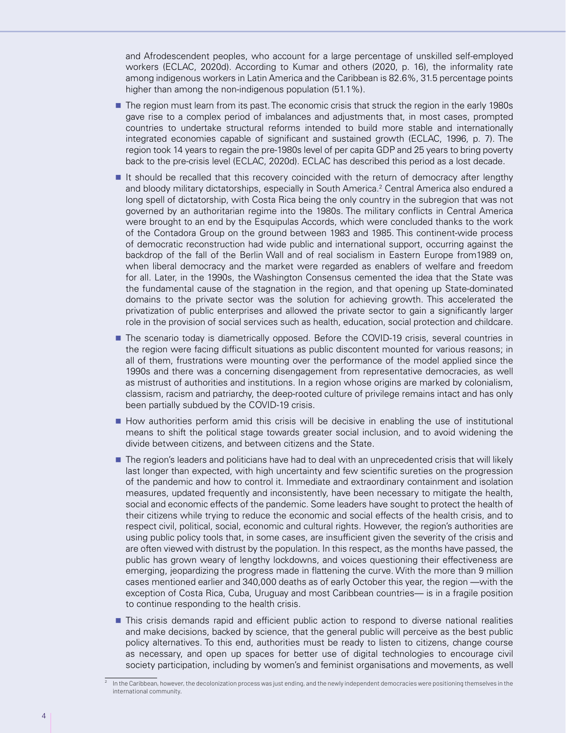and Afrodescendent peoples, who account for a large percentage of unskilled self-employed workers (ECLAC, 2020d). According to Kumar and others (2020, p. 16), the informality rate among indigenous workers in Latin America and the Caribbean is 82.6%, 31.5 percentage points higher than among the non-indigenous population (51.1%).

- **The region must learn from its past. The economic crisis that struck the region in the early 1980s** gave rise to a complex period of imbalances and adjustments that, in most cases, prompted countries to undertake structural reforms intended to build more stable and internationally integrated economies capable of significant and sustained growth (ECLAC, 1996, p. 7). The region took 14 years to regain the pre-1980s level of per capita GDP and 25 years to bring poverty back to the pre-crisis level (ECLAC, 2020d). ECLAC has described this period as a lost decade.
- It should be recalled that this recovery coincided with the return of democracy after lengthy and bloody military dictatorships, especially in South America.<sup>2</sup> Central America also endured a long spell of dictatorship, with Costa Rica being the only country in the subregion that was not governed by an authoritarian regime into the 1980s. The military conflicts in Central America were brought to an end by the Esquipulas Accords, which were concluded thanks to the work of the Contadora Group on the ground between 1983 and 1985. This continent-wide process of democratic reconstruction had wide public and international support, occurring against the backdrop of the fall of the Berlin Wall and of real socialism in Eastern Europe from1989 on, when liberal democracy and the market were regarded as enablers of welfare and freedom for all. Later, in the 1990s, the Washington Consensus cemented the idea that the State was the fundamental cause of the stagnation in the region, and that opening up State-dominated domains to the private sector was the solution for achieving growth. This accelerated the privatization of public enterprises and allowed the private sector to gain a significantly larger role in the provision of social services such as health, education, social protection and childcare.
- **The scenario today is diametrically opposed. Before the COVID-19 crisis, several countries in** the region were facing difficult situations as public discontent mounted for various reasons; in all of them, frustrations were mounting over the performance of the model applied since the 1990s and there was a concerning disengagement from representative democracies, as well as mistrust of authorities and institutions. In a region whose origins are marked by colonialism, classism, racism and patriarchy, the deep-rooted culture of privilege remains intact and has only been partially subdued by the COVID-19 crisis.
- How authorities perform amid this crisis will be decisive in enabling the use of institutional means to shift the political stage towards greater social inclusion, and to avoid widening the divide between citizens, and between citizens and the State.
- The region's leaders and politicians have had to deal with an unprecedented crisis that will likely last longer than expected, with high uncertainty and few scientific sureties on the progression of the pandemic and how to control it. Immediate and extraordinary containment and isolation measures, updated frequently and inconsistently, have been necessary to mitigate the health, social and economic effects of the pandemic. Some leaders have sought to protect the health of their citizens while trying to reduce the economic and social effects of the health crisis, and to respect civil, political, social, economic and cultural rights. However, the region's authorities are using public policy tools that, in some cases, are insufficient given the severity of the crisis and are often viewed with distrust by the population. In this respect, as the months have passed, the public has grown weary of lengthy lockdowns, and voices questioning their effectiveness are emerging, jeopardizing the progress made in flattening the curve. With the more than 9 million cases mentioned earlier and 340,000 deaths as of early October this year, the region —with the exception of Costa Rica, Cuba, Uruguay and most Caribbean countries— is in a fragile position to continue responding to the health crisis.
- **This crisis demands rapid and efficient public action to respond to diverse national realities** and make decisions, backed by science, that the general public will perceive as the best public policy alternatives. To this end, authorities must be ready to listen to citizens, change course as necessary, and open up spaces for better use of digital technologies to encourage civil society participation, including by women's and feminist organisations and movements, as well

<sup>2</sup> In the Caribbean, however, the decolonization process was just ending, and the newly independent democracies were positioning themselves in the international community.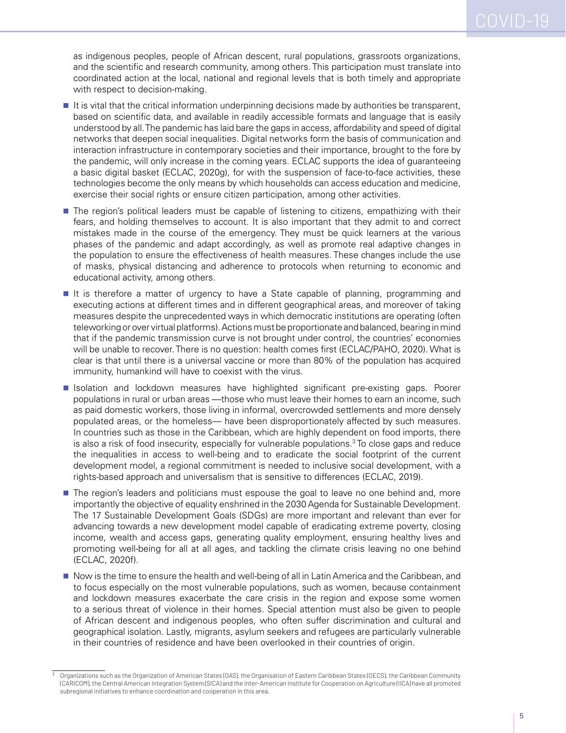as indigenous peoples, people of African descent, rural populations, grassroots organizations, and the scientific and research community, among others. This participation must translate into coordinated action at the local, national and regional levels that is both timely and appropriate with respect to decision-making.

- It is vital that the critical information underpinning decisions made by authorities be transparent, based on scientific data, and available in readily accessible formats and language that is easily understood by all. The pandemic has laid bare the gaps in access, affordability and speed of digital networks that deepen social inequalities. Digital networks form the basis of communication and interaction infrastructure in contemporary societies and their importance, brought to the fore by the pandemic, will only increase in the coming years. ECLAC supports the idea of guaranteeing a basic digital basket (ECLAC, 2020g), for with the suspension of face-to-face activities, these technologies become the only means by which households can access education and medicine, exercise their social rights or ensure citizen participation, among other activities.
- **The region's political leaders must be capable of listening to citizens, empathizing with their** fears, and holding themselves to account. It is also important that they admit to and correct mistakes made in the course of the emergency. They must be quick learners at the various phases of the pandemic and adapt accordingly, as well as promote real adaptive changes in the population to ensure the effectiveness of health measures. These changes include the use of masks, physical distancing and adherence to protocols when returning to economic and educational activity, among others.
- It is therefore a matter of urgency to have a State capable of planning, programming and executing actions at different times and in different geographical areas, and moreover of taking measures despite the unprecedented ways in which democratic institutions are operating (often teleworking or over virtual platforms). Actions must be proportionate and balanced, bearing in mind that if the pandemic transmission curve is not brought under control, the countries' economies will be unable to recover. There is no question: health comes first (ECLAC/PAHO, 2020). What is clear is that until there is a universal vaccine or more than 80% of the population has acquired immunity, humankind will have to coexist with the virus.
- **Isolation and lockdown measures have highlighted significant pre-existing gaps. Poorer** populations in rural or urban areas —those who must leave their homes to earn an income, such as paid domestic workers, those living in informal, overcrowded settlements and more densely populated areas, or the homeless— have been disproportionately affected by such measures. In countries such as those in the Caribbean, which are highly dependent on food imports, there is also a risk of food insecurity, especially for vulnerable populations.<sup>3</sup> To close gaps and reduce the inequalities in access to well-being and to eradicate the social footprint of the current development model, a regional commitment is needed to inclusive social development, with a rights-based approach and universalism that is sensitive to differences (ECLAC, 2019).
- **The region's leaders and politicians must espouse the goal to leave no one behind and, more** importantly the objective of equality enshrined in the 2030 Agenda for Sustainable Development. The 17 Sustainable Development Goals (SDGs) are more important and relevant than ever for advancing towards a new development model capable of eradicating extreme poverty, closing income, wealth and access gaps, generating quality employment, ensuring healthy lives and promoting well-being for all at all ages, and tackling the climate crisis leaving no one behind (ECLAC, 2020f).
- Now is the time to ensure the health and well-being of all in Latin America and the Caribbean, and to focus especially on the most vulnerable populations, such as women, because containment and lockdown measures exacerbate the care crisis in the region and expose some women to a serious threat of violence in their homes. Special attention must also be given to people of African descent and indigenous peoples, who often suffer discrimination and cultural and geographical isolation. Lastly, migrants, asylum seekers and refugees are particularly vulnerable in their countries of residence and have been overlooked in their countries of origin.

<sup>3</sup> Organizations such as the Organization of American States (OAS), the Organisation of Eastern Caribbean States (OECS), the Caribbean Community (CARICOM), the Central American Integration System (SICA) and the Inter-American Institute for Cooperation on Agriculture (IICA) have all promoted subregional initiatives to enhance coordination and cooperation in this area.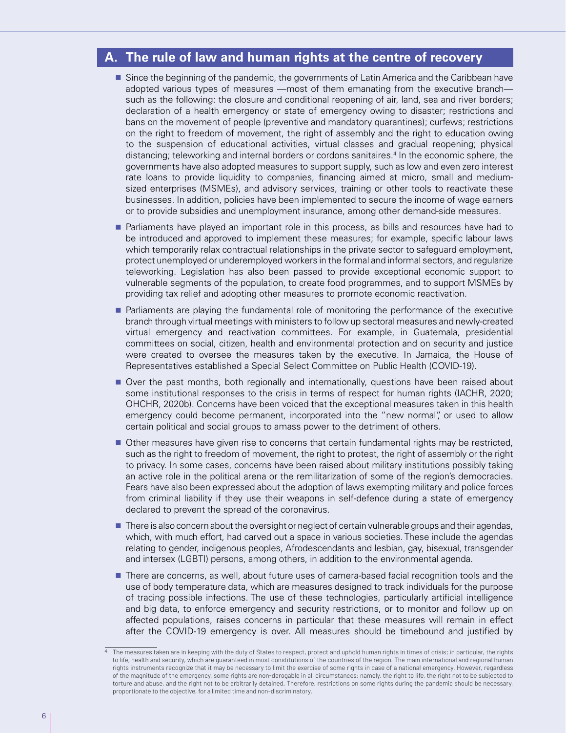#### **A. The rule of law and human rights at the centre of recovery**

- **Since the beginning of the pandemic, the governments of Latin America and the Caribbean have** adopted various types of measures —most of them emanating from the executive branch such as the following: the closure and conditional reopening of air, land, sea and river borders; declaration of a health emergency or state of emergency owing to disaster; restrictions and bans on the movement of people (preventive and mandatory quarantines); curfews; restrictions on the right to freedom of movement, the right of assembly and the right to education owing to the suspension of educational activities, virtual classes and gradual reopening; physical distancing; teleworking and internal borders or cordons sanitaires.<sup>4</sup> In the economic sphere, the governments have also adopted measures to support supply, such as low and even zero interest rate loans to provide liquidity to companies, financing aimed at micro, small and mediumsized enterprises (MSMEs), and advisory services, training or other tools to reactivate these businesses. In addition, policies have been implemented to secure the income of wage earners or to provide subsidies and unemployment insurance, among other demand-side measures.
- **Parliaments have played an important role in this process, as bills and resources have had to** be introduced and approved to implement these measures; for example, specific labour laws which temporarily relax contractual relationships in the private sector to safeguard employment, protect unemployed or underemployed workers in the formal and informal sectors, and regularize teleworking. Legislation has also been passed to provide exceptional economic support to vulnerable segments of the population, to create food programmes, and to support MSMEs by providing tax relief and adopting other measures to promote economic reactivation.
- **Parliaments are playing the fundamental role of monitoring the performance of the executive** branch through virtual meetings with ministers to follow up sectoral measures and newly-created virtual emergency and reactivation committees. For example, in Guatemala, presidential committees on social, citizen, health and environmental protection and on security and justice were created to oversee the measures taken by the executive. In Jamaica, the House of Representatives established a Special Select Committee on Public Health (COVID-19).
- Over the past months, both regionally and internationally, questions have been raised about some institutional responses to the crisis in terms of respect for human rights (IACHR, 2020; OHCHR, 2020b). Concerns have been voiced that the exceptional measures taken in this health emergency could become permanent, incorporated into the "new normal", or used to allow certain political and social groups to amass power to the detriment of others.
- **Other measures have given rise to concerns that certain fundamental rights may be restricted,** such as the right to freedom of movement, the right to protest, the right of assembly or the right to privacy. In some cases, concerns have been raised about military institutions possibly taking an active role in the political arena or the remilitarization of some of the region's democracies. Fears have also been expressed about the adoption of laws exempting military and police forces from criminal liability if they use their weapons in self-defence during a state of emergency declared to prevent the spread of the coronavirus.
- **There is also concern about the oversight or neglect of certain vulnerable groups and their agendas,** which, with much effort, had carved out a space in various societies. These include the agendas relating to gender, indigenous peoples, Afrodescendants and lesbian, gay, bisexual, transgender and intersex (LGBTI) persons, among others, in addition to the environmental agenda.
- **There are concerns, as well, about future uses of camera-based facial recognition tools and the** use of body temperature data, which are measures designed to track individuals for the purpose of tracing possible infections. The use of these technologies, particularly artificial intelligence and big data, to enforce emergency and security restrictions, or to monitor and follow up on affected populations, raises concerns in particular that these measures will remain in effect after the COVID-19 emergency is over. All measures should be timebound and justified by

<sup>4</sup> The measures taken are in keeping with the duty of States to respect, protect and uphold human rights in times of crisis; in particular, the rights to life, health and security, which are guaranteed in most constitutions of the countries of the region. The main international and regional human rights instruments recognize that it may be necessary to limit the exercise of some rights in case of a national emergency. However, regardless of the magnitude of the emergency, some rights are non-derogable in all circumstances; namely, the right to life, the right not to be subjected to torture and abuse, and the right not to be arbitrarily detained. Therefore, restrictions on some rights during the pandemic should be necessary, proportionate to the objective, for a limited time and non-discriminatory.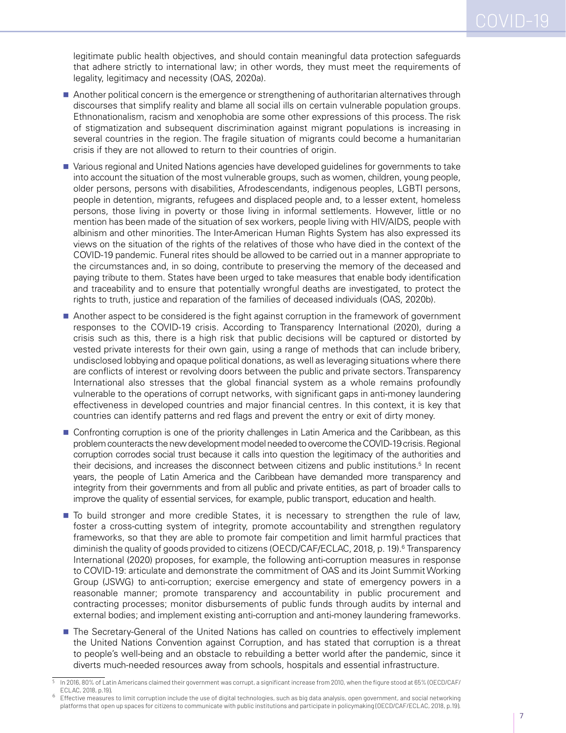legitimate public health objectives, and should contain meaningful data protection safeguards that adhere strictly to international law; in other words, they must meet the requirements of legality, legitimacy and necessity (OAS, 2020a).

- Another political concern is the emergence or strengthening of authoritarian alternatives through discourses that simplify reality and blame all social ills on certain vulnerable population groups. Ethnonationalism, racism and xenophobia are some other expressions of this process. The risk of stigmatization and subsequent discrimination against migrant populations is increasing in several countries in the region. The fragile situation of migrants could become a humanitarian crisis if they are not allowed to return to their countries of origin.
- Various regional and United Nations agencies have developed guidelines for governments to take into account the situation of the most vulnerable groups, such as women, children, young people, older persons, persons with disabilities, Afrodescendants, indigenous peoples, LGBTI persons, people in detention, migrants, refugees and displaced people and, to a lesser extent, homeless persons, those living in poverty or those living in informal settlements. However, little or no mention has been made of the situation of sex workers, people living with HIV/AIDS, people with albinism and other minorities. The Inter-American Human Rights System has also expressed its views on the situation of the rights of the relatives of those who have died in the context of the COVID-19 pandemic. Funeral rites should be allowed to be carried out in a manner appropriate to the circumstances and, in so doing, contribute to preserving the memory of the deceased and paying tribute to them. States have been urged to take measures that enable body identification and traceability and to ensure that potentially wrongful deaths are investigated, to protect the rights to truth, justice and reparation of the families of deceased individuals (OAS, 2020b).
- Another aspect to be considered is the fight against corruption in the framework of government responses to the COVID-19 crisis. According to Transparency International (2020), during a crisis such as this, there is a high risk that public decisions will be captured or distorted by vested private interests for their own gain, using a range of methods that can include bribery, undisclosed lobbying and opaque political donations, as well as leveraging situations where there are conflicts of interest or revolving doors between the public and private sectors. Transparency International also stresses that the global financial system as a whole remains profoundly vulnerable to the operations of corrupt networks, with significant gaps in anti-money laundering effectiveness in developed countries and major financial centres. In this context, it is key that countries can identify patterns and red flags and prevent the entry or exit of dirty money.
- **Confronting corruption is one of the priority challenges in Latin America and the Caribbean, as this** problem counteracts the new development model needed to overcome the COVID-19 crisis. Regional corruption corrodes social trust because it calls into question the legitimacy of the authorities and their decisions, and increases the disconnect between citizens and public institutions.<sup>5</sup> In recent years, the people of Latin America and the Caribbean have demanded more transparency and integrity from their governments and from all public and private entities, as part of broader calls to improve the quality of essential services, for example, public transport, education and health.
- $\blacksquare$  To build stronger and more credible States, it is necessary to strengthen the rule of law, foster a cross-cutting system of integrity, promote accountability and strengthen regulatory frameworks, so that they are able to promote fair competition and limit harmful practices that diminish the quality of goods provided to citizens (OECD/CAF/ECLAC, 2018, p. 19).<sup>6</sup> Transparency International (2020) proposes, for example, the following anti-corruption measures in response to COVID-19: articulate and demonstrate the commitment of OAS and its Joint Summit Working Group (JSWG) to anti-corruption; exercise emergency and state of emergency powers in a reasonable manner; promote transparency and accountability in public procurement and contracting processes; monitor disbursements of public funds through audits by internal and external bodies; and implement existing anti-corruption and anti-money laundering frameworks.
- The Secretary-General of the United Nations has called on countries to effectively implement the United Nations Convention against Corruption, and has stated that corruption is a threat to people's well-being and an obstacle to rebuilding a better world after the pandemic, since it diverts much-needed resources away from schools, hospitals and essential infrastructure.

<sup>5</sup> In 2016, 80% of Latin Americans claimed their government was corrupt, a significant increase from 2010, when the figure stood at 65% (OECD/CAF/ ECLAC, 2018, p.19).

<sup>6</sup> Effective measures to limit corruption include the use of digital technologies, such as big data analysis, open government, and social networking platforms that open up spaces for citizens to communicate with public institutions and participate in policymaking (OECD/CAF/ECLAC, 2018, p.19).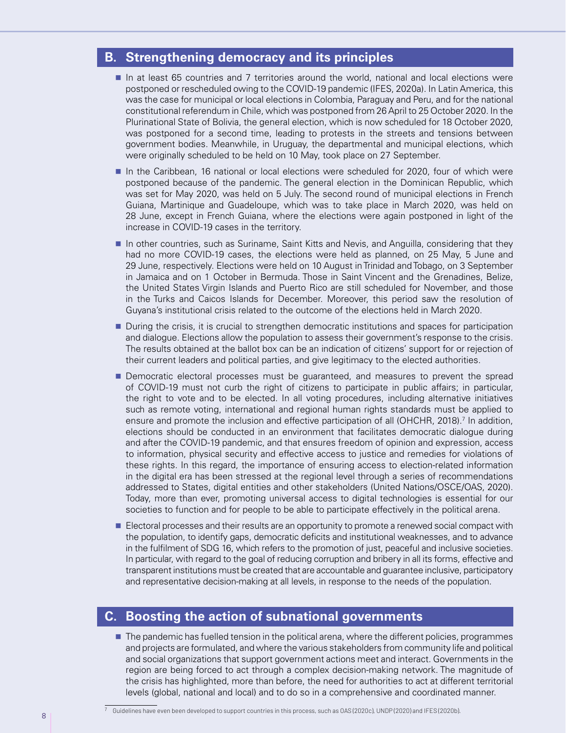#### **B. Strengthening democracy and its principles**

- In at least 65 countries and 7 territories around the world, national and local elections were postponed or rescheduled owing to the COVID-19 pandemic (IFES, 2020a). In Latin America, this was the case for municipal or local elections in Colombia, Paraguay and Peru, and for the national constitutional referendum in Chile, which was postponed from 26 April to 25 October 2020. In the Plurinational State of Bolivia, the general election, which is now scheduled for 18 October 2020, was postponed for a second time, leading to protests in the streets and tensions between government bodies. Meanwhile, in Uruguay, the departmental and municipal elections, which were originally scheduled to be held on 10 May, took place on 27 September.
- In the Caribbean, 16 national or local elections were scheduled for 2020, four of which were postponed because of the pandemic. The general election in the Dominican Republic, which was set for May 2020, was held on 5 July. The second round of municipal elections in French Guiana, Martinique and Guadeloupe, which was to take place in March 2020, was held on 28 June, except in French Guiana, where the elections were again postponed in light of the increase in COVID-19 cases in the territory.
- In other countries, such as Suriname, Saint Kitts and Nevis, and Anguilla, considering that they had no more COVID-19 cases, the elections were held as planned, on 25 May, 5 June and 29 June, respectively. Elections were held on 10 August in Trinidad and Tobago, on 3 September in Jamaica and on 1 October in Bermuda. Those in Saint Vincent and the Grenadines, Belize, the United States Virgin Islands and Puerto Rico are still scheduled for November, and those in the Turks and Caicos Islands for December. Moreover, this period saw the resolution of Guyana's institutional crisis related to the outcome of the elections held in March 2020.
- **During the crisis, it is crucial to strengthen democratic institutions and spaces for participation** and dialogue. Elections allow the population to assess their government's response to the crisis. The results obtained at the ballot box can be an indication of citizens' support for or rejection of their current leaders and political parties, and give legitimacy to the elected authorities.
- **Democratic electoral processes must be guaranteed, and measures to prevent the spread** of COVID-19 must not curb the right of citizens to participate in public affairs; in particular, the right to vote and to be elected. In all voting procedures, including alternative initiatives such as remote voting, international and regional human rights standards must be applied to ensure and promote the inclusion and effective participation of all (OHCHR, 2018).<sup>7</sup> In addition, elections should be conducted in an environment that facilitates democratic dialogue during and after the COVID-19 pandemic, and that ensures freedom of opinion and expression, access to information, physical security and effective access to justice and remedies for violations of these rights. In this regard, the importance of ensuring access to election-related information in the digital era has been stressed at the regional level through a series of recommendations addressed to States, digital entities and other stakeholders (United Nations/OSCE/OAS, 2020). Today, more than ever, promoting universal access to digital technologies is essential for our societies to function and for people to be able to participate effectively in the political arena.
- **Electoral processes and their results are an opportunity to promote a renewed social compact with** the population, to identify gaps, democratic deficits and institutional weaknesses, and to advance in the fulfilment of SDG 16, which refers to the promotion of just, peaceful and inclusive societies. In particular, with regard to the goal of reducing corruption and bribery in all its forms, effective and transparent institutions must be created that are accountable and guarantee inclusive, participatory and representative decision-making at all levels, in response to the needs of the population.

#### **C. Boosting the action of subnational governments**

**The pandemic has fuelled tension in the political arena, where the different policies, programmes** and projects are formulated, and where the various stakeholders from community life and political and social organizations that support government actions meet and interact. Governments in the region are being forced to act through a complex decision-making network. The magnitude of the crisis has highlighted, more than before, the need for authorities to act at different territorial levels (global, national and local) and to do so in a comprehensive and coordinated manner.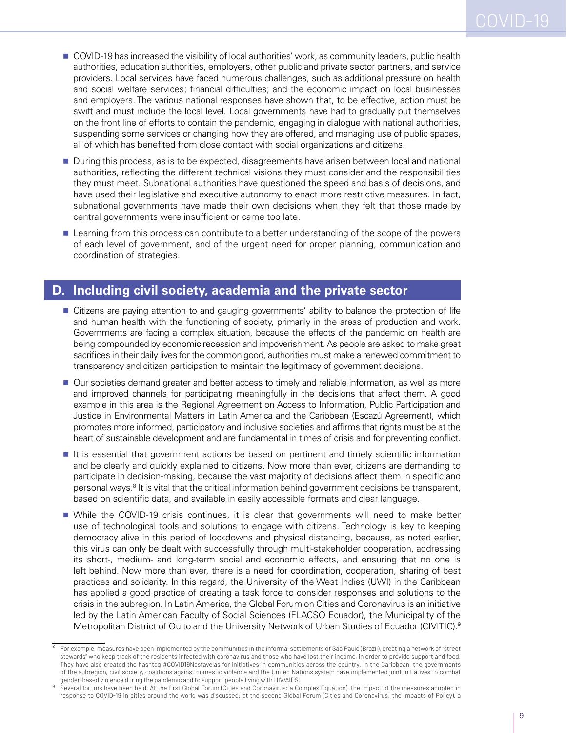- COVID-19 has increased the visibility of local authorities' work, as community leaders, public health authorities, education authorities, employers, other public and private sector partners, and service providers. Local services have faced numerous challenges, such as additional pressure on health and social welfare services; financial difficulties; and the economic impact on local businesses and employers. The various national responses have shown that, to be effective, action must be swift and must include the local level. Local governments have had to gradually put themselves on the front line of efforts to contain the pandemic, engaging in dialogue with national authorities, suspending some services or changing how they are offered, and managing use of public spaces, all of which has benefited from close contact with social organizations and citizens.
- **During this process, as is to be expected, disagreements have arisen between local and national** authorities, reflecting the different technical visions they must consider and the responsibilities they must meet. Subnational authorities have questioned the speed and basis of decisions, and have used their legislative and executive autonomy to enact more restrictive measures. In fact, subnational governments have made their own decisions when they felt that those made by central governments were insufficient or came too late.
- **Learning from this process can contribute to a better understanding of the scope of the powers** of each level of government, and of the urgent need for proper planning, communication and coordination of strategies.

#### **D. Including civil society, academia and the private sector**

- **Citizens are paying attention to and gauging governments' ability to balance the protection of life** and human health with the functioning of society, primarily in the areas of production and work. Governments are facing a complex situation, because the effects of the pandemic on health are being compounded by economic recession and impoverishment. As people are asked to make great sacrifices in their daily lives for the common good, authorities must make a renewed commitment to transparency and citizen participation to maintain the legitimacy of government decisions.
- **Our societies demand greater and better access to timely and reliable information, as well as more** and improved channels for participating meaningfully in the decisions that affect them. A good example in this area is the Regional Agreement on Access to Information, Public Participation and Justice in Environmental Matters in Latin America and the Caribbean (Escazú Agreement), which promotes more informed, participatory and inclusive societies and affirms that rights must be at the heart of sustainable development and are fundamental in times of crisis and for preventing conflict.
- It is essential that government actions be based on pertinent and timely scientific information and be clearly and quickly explained to citizens. Now more than ever, citizens are demanding to participate in decision-making, because the vast majority of decisions affect them in specific and personal ways.<sup>8</sup> It is vital that the critical information behind government decisions be transparent, based on scientific data, and available in easily accessible formats and clear language.
- While the COVID-19 crisis continues, it is clear that governments will need to make better use of technological tools and solutions to engage with citizens. Technology is key to keeping democracy alive in this period of lockdowns and physical distancing, because, as noted earlier, this virus can only be dealt with successfully through multi-stakeholder cooperation, addressing its short-, medium- and long-term social and economic effects, and ensuring that no one is left behind. Now more than ever, there is a need for coordination, cooperation, sharing of best practices and solidarity. In this regard, the University of the West Indies (UWI) in the Caribbean has applied a good practice of creating a task force to consider responses and solutions to the crisis in the subregion. In Latin America, the Global Forum on Cities and Coronavirus is an initiative led by the Latin American Faculty of Social Sciences (FLACSO Ecuador), the Municipality of the Metropolitan District of Quito and the University Network of Urban Studies of Ecuador (CIVITIC).<sup>9</sup>

<sup>8</sup> For example, measures have been implemented by the communities in the informal settlements of São Paulo (Brazil), creating a network of "street stewards" who keep track of the residents infected with coronavirus and those who have lost their income, in order to provide support and food. They have also created the hashtag #COVID19Nasfavelas for initiatives in communities across the country. In the Caribbean, the governments of the subregion, civil society, coalitions against domestic violence and the United Nations system have implemented joint initiatives to combat gender-based violence during the pandemic and to support people living with HIV/AIDS.

<sup>9</sup> Several forums have been held. At the first Global Forum (Cities and Coronavirus: a Complex Equation), the impact of the measures adopted in response to COVID-19 in cities around the world was discussed; at the second Global Forum (Cities and Coronavirus: the Impacts of Policy), a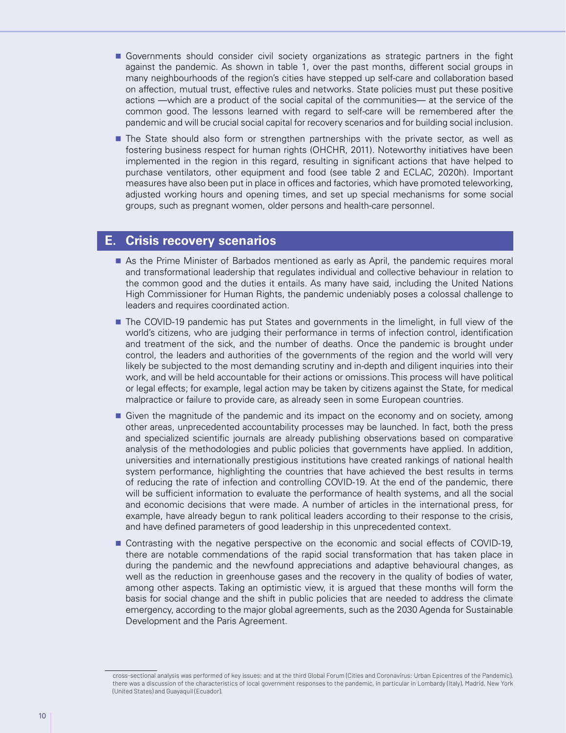- Governments should consider civil society organizations as strategic partners in the fight against the pandemic. As shown in table 1, over the past months, different social groups in many neighbourhoods of the region's cities have stepped up self-care and collaboration based on affection, mutual trust, effective rules and networks. State policies must put these positive actions —which are a product of the social capital of the communities— at the service of the common good. The lessons learned with regard to self-care will be remembered after the pandemic and will be crucial social capital for recovery scenarios and for building social inclusion.
- **The State should also form or strengthen partnerships with the private sector, as well as** fostering business respect for human rights (OHCHR, 2011). Noteworthy initiatives have been implemented in the region in this regard, resulting in significant actions that have helped to purchase ventilators, other equipment and food (see table 2 and ECLAC, 2020h). Important measures have also been put in place in offices and factories, which have promoted teleworking, adjusted working hours and opening times, and set up special mechanisms for some social groups, such as pregnant women, older persons and health-care personnel.

#### **E. Crisis recovery scenarios**

- As the Prime Minister of Barbados mentioned as early as April, the pandemic requires moral and transformational leadership that regulates individual and collective behaviour in relation to the common good and the duties it entails. As many have said, including the United Nations High Commissioner for Human Rights, the pandemic undeniably poses a colossal challenge to leaders and requires coordinated action.
- The COVID-19 pandemic has put States and governments in the limelight, in full view of the world's citizens, who are judging their performance in terms of infection control, identification and treatment of the sick, and the number of deaths. Once the pandemic is brought under control, the leaders and authorities of the governments of the region and the world will very likely be subjected to the most demanding scrutiny and in-depth and diligent inquiries into their work, and will be held accountable for their actions or omissions. This process will have political or legal effects; for example, legal action may be taken by citizens against the State, for medical malpractice or failure to provide care, as already seen in some European countries.
- Given the magnitude of the pandemic and its impact on the economy and on society, among other areas, unprecedented accountability processes may be launched. In fact, both the press and specialized scientific journals are already publishing observations based on comparative analysis of the methodologies and public policies that governments have applied. In addition, universities and internationally prestigious institutions have created rankings of national health system performance, highlighting the countries that have achieved the best results in terms of reducing the rate of infection and controlling COVID-19. At the end of the pandemic, there will be sufficient information to evaluate the performance of health systems, and all the social and economic decisions that were made. A number of articles in the international press, for example, have already begun to rank political leaders according to their response to the crisis, and have defined parameters of good leadership in this unprecedented context.
- Contrasting with the negative perspective on the economic and social effects of COVID-19, there are notable commendations of the rapid social transformation that has taken place in during the pandemic and the newfound appreciations and adaptive behavioural changes, as well as the reduction in greenhouse gases and the recovery in the quality of bodies of water, among other aspects. Taking an optimistic view, it is argued that these months will form the basis for social change and the shift in public policies that are needed to address the climate emergency, according to the major global agreements, such as the 2030 Agenda for Sustainable Development and the Paris Agreement.

cross-sectional analysis was performed of key issues; and at the third Global Forum (Cities and Coronavirus: Urban Epicentres of the Pandemic), there was a discussion of the characteristics of local government responses to the pandemic, in particular in Lombardy (Italy), Madrid, New York (United States) and Guayaquil (Ecuador).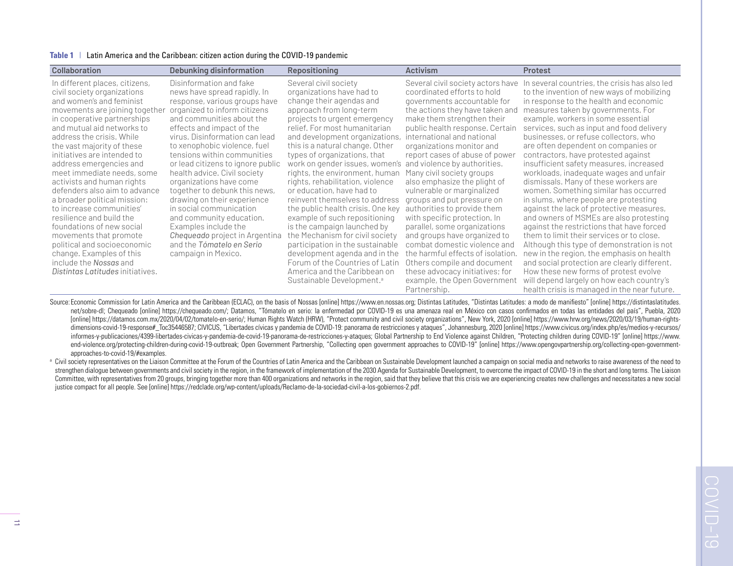|  | Table 1   Latin America and the Caribbean: citizen action during the COVID-19 pandemic |  |  |
|--|----------------------------------------------------------------------------------------|--|--|
|--|----------------------------------------------------------------------------------------|--|--|

| <b>Collaboration</b>                                                                                                                                                                                                                                                                                                                                                                                                                                                                                                                                                                                                                                                               | Debunking disinformation                                                                                                                                                                                                                                                                                                                                                                                                                                                                                                                                                                                                 | <b>Repositioning</b>                                                                                                                                                                                                                                                                                                                                                                                                                                                                                                                                                                                                                                                                                                                                                            | <b>Activism</b>                                                                                                                                                                                                                                                                                                                                                                                                                                                                                                                                                                                                                                                                                                                                                                 | Protest                                                                                                                                                                                                                                                                                                                                                                                                                                                                                                                                                                                                                                                                                                                                                                                                                                                                                                                                                                                                                                                                 |
|------------------------------------------------------------------------------------------------------------------------------------------------------------------------------------------------------------------------------------------------------------------------------------------------------------------------------------------------------------------------------------------------------------------------------------------------------------------------------------------------------------------------------------------------------------------------------------------------------------------------------------------------------------------------------------|--------------------------------------------------------------------------------------------------------------------------------------------------------------------------------------------------------------------------------------------------------------------------------------------------------------------------------------------------------------------------------------------------------------------------------------------------------------------------------------------------------------------------------------------------------------------------------------------------------------------------|---------------------------------------------------------------------------------------------------------------------------------------------------------------------------------------------------------------------------------------------------------------------------------------------------------------------------------------------------------------------------------------------------------------------------------------------------------------------------------------------------------------------------------------------------------------------------------------------------------------------------------------------------------------------------------------------------------------------------------------------------------------------------------|---------------------------------------------------------------------------------------------------------------------------------------------------------------------------------------------------------------------------------------------------------------------------------------------------------------------------------------------------------------------------------------------------------------------------------------------------------------------------------------------------------------------------------------------------------------------------------------------------------------------------------------------------------------------------------------------------------------------------------------------------------------------------------|-------------------------------------------------------------------------------------------------------------------------------------------------------------------------------------------------------------------------------------------------------------------------------------------------------------------------------------------------------------------------------------------------------------------------------------------------------------------------------------------------------------------------------------------------------------------------------------------------------------------------------------------------------------------------------------------------------------------------------------------------------------------------------------------------------------------------------------------------------------------------------------------------------------------------------------------------------------------------------------------------------------------------------------------------------------------------|
| In different places, citizens,<br>civil society organizations<br>and women's and feminist<br>movements are joining together<br>in cooperative partnerships<br>and mutual aid networks to<br>address the crisis. While<br>the vast majority of these<br>initiatives are intended to<br>address emergencies and<br>meet immediate needs, some<br>activists and human rights<br>defenders also aim to advance<br>a broader political mission:<br>to increase communities'<br>resilience and build the<br>foundations of new social<br>movements that promote<br>political and socioeconomic<br>change. Examples of this<br>include the Nossas and<br>Distintas Latitudes initiatives. | Disinformation and fake<br>news have spread rapidly. In<br>response, various groups have<br>organized to inform citizens<br>and communities about the<br>effects and impact of the<br>virus. Disinformation can lead<br>to xenophobic violence, fuel<br>tensions within communities<br>or lead citizens to ignore public<br>health advice. Civil society<br>organizations have come<br>together to debunk this news,<br>drawing on their experience<br>in social communication<br>and community education.<br>Examples include the<br>Chequeado project in Argentina<br>and the Tómatelo en Serio<br>campaign in Mexico. | Several civil society<br>organizations have had to<br>change their agendas and<br>approach from long-term<br>projects to urgent emergency<br>relief. For most humanitarian<br>and development organizations,<br>this is a natural change. Other<br>types of organizations, that<br>work on gender issues, women's<br>rights, the environment, human<br>rights, rehabilitation, violence<br>or education, have had to<br>reinvent themselves to address<br>the public health crisis. One key<br>example of such repositioning<br>is the campaign launched by<br>the Mechanism for civil society<br>participation in the sustainable<br>development agenda and in the<br>Forum of the Countries of Latin<br>America and the Caribbean on<br>Sustainable Development. <sup>a</sup> | Several civil society actors have<br>coordinated efforts to hold<br>governments accountable for<br>the actions they have taken and<br>make them strengthen their<br>public health response. Certain<br>international and national<br>organizations monitor and<br>report cases of abuse of power<br>and violence by authorities.<br>Many civil society groups<br>also emphasize the plight of<br>vulnerable or marginalized<br>groups and put pressure on<br>authorities to provide them<br>with specific protection. In<br>parallel, some organizations<br>and groups have organized to<br>combat domestic violence and<br>the harmful effects of isolation.<br>Others compile and document<br>these advocacy initiatives; for<br>example, the Open Government<br>Partnership. | In several countries, the crisis has also led<br>to the invention of new ways of mobilizing<br>in response to the health and economic<br>measures taken by governments. For<br>example, workers in some essential<br>services, such as input and food delivery<br>businesses, or refuse collectors, who<br>are often dependent on companies or<br>contractors, have protested against<br>insufficient safety measures, increased<br>workloads, inadequate wages and unfair<br>dismissals. Many of these workers are<br>women. Something similar has occurred<br>in slums, where people are protesting<br>against the lack of protective measures,<br>and owners of MSMEs are also protesting<br>against the restrictions that have forced<br>them to limit their services or to close.<br>Although this type of demonstration is not<br>new in the region, the emphasis on health<br>and social protection are clearly different.<br>How these new forms of protest evolve<br>will depend largely on how each country's<br>health crisis is managed in the near future. |

Source: Economic Commission for Latin America and the Caribbean (ECLAC), on the basis of Nossas [online] https://www.en.nossas.org; Distintas Latitudes. "Distintas Latitudes: a modo de manifiesto" [online] https://distinta net/sobre-dl; Chequeado [online] https://chequeado.com/; Datamos, "Tómatelo en serio: la enfermedad por COVID-19 es una amenaza real en México con casos confirmados en todas las entidades del país", Puebla, 2020 [online] https://datamos.com.mx/2020/04/02/tomatelo-en-serio/; Human Rights Watch (HRW), "Protect community and civil society organizations", New York, 2020 [online] https://www.hrw.org/news/2020/03/19/human-rightsdimensions-covid-19-response# Toc35446587; CIVICUS, "Libertades cívicas y pandemia de COVID-19: panorama de restricciones y ataques", Johannesburg, 2020 [online] https://www.civicus.org/index.php/es/medios-y-recursos/ informes-y-publicaciones/4399-libertades-civicas-y-pandemia-de-covid-19-panorama-de-restricciones-y-ataques; Global Partnership to End Violence against Children, "Protecting children during COVID-19" [online] https://www. end-violence.org/protecting-children-during-covid-19-outbreak; Open Government Partnership, "Collecting open government approaches to COVID-19" [online] https://www.opengovpartnership.org/collecting-open-governmentapproaches-to-covid-19/#examples.

a Civil society representatives on the Liaison Committee at the Forum of the Countries of Latin America and the Caribbean on Sustainable Development launched a campaign on social media and networks to raise awareness of th strengthen dialogue between governments and civil society in the region, in the framework of implementation of the 2030 Agenda for Sustainable Development, to overcome the impact of COVID-19 in the short and long terms. Th Committee, with representatives from 20 groups, bringing together more than 400 organizations and networks in the region, said that they believe that this crisis we are experiencing creates new challenges and necessitates justice compact for all people. See [online] https://redclade.org/wp-content/uploads/Reclamo-de-la-sociedad-civil-a-los-gobiernos-2.pdf.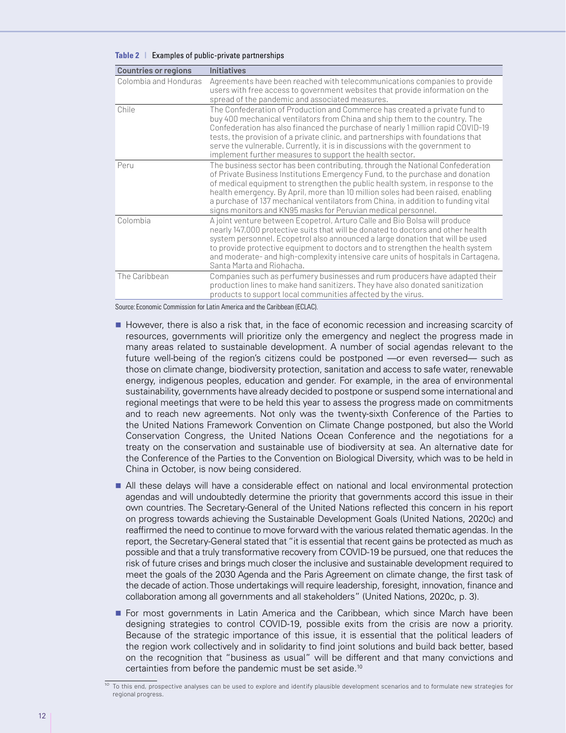| <b>Countries or regions</b> | <b>Initiatives</b>                                                                                                                                                                                                                                                                                                                                                                                                                                                                          |
|-----------------------------|---------------------------------------------------------------------------------------------------------------------------------------------------------------------------------------------------------------------------------------------------------------------------------------------------------------------------------------------------------------------------------------------------------------------------------------------------------------------------------------------|
| Colombia and Honduras       | Agreements have been reached with telecommunications companies to provide<br>users with free access to government websites that provide information on the<br>spread of the pandemic and associated measures.                                                                                                                                                                                                                                                                               |
| Chile                       | The Confederation of Production and Commerce has created a private fund to<br>buy 400 mechanical ventilators from China and ship them to the country. The<br>Confederation has also financed the purchase of nearly 1 million rapid COVID-19<br>tests, the provision of a private clinic, and partnerships with foundations that<br>serve the vulnerable. Currently, it is in discussions with the government to<br>implement further measures to support the health sector.                |
| Peru                        | The business sector has been contributing, through the National Confederation<br>of Private Business Institutions Emergency Fund, to the purchase and donation<br>of medical equipment to strengthen the public health system, in response to the<br>health emergency. By April, more than 10 million soles had been raised, enabling<br>a purchase of 137 mechanical ventilators from China, in addition to funding vital<br>signs monitors and KN95 masks for Peruvian medical personnel. |
| Colombia                    | A joint venture between Ecopetrol, Arturo Calle and Bio Bolsa will produce<br>nearly 147,000 protective suits that will be donated to doctors and other health<br>system personnel. Ecopetrol also announced a large donation that will be used<br>to provide protective equipment to doctors and to strengthen the health system<br>and moderate- and high-complexity intensive care units of hospitals in Cartagena,<br>Santa Marta and Riohacha.                                         |
| The Caribbean               | Companies such as perfumery businesses and rum producers have adapted their<br>production lines to make hand sanitizers. They have also donated sanitization<br>products to support local communities affected by the virus.                                                                                                                                                                                                                                                                |

#### **Table 2** | Examples of public-private partnerships

Source: Economic Commission for Latin America and the Caribbean (ECLAC).

- However, there is also a risk that, in the face of economic recession and increasing scarcity of resources, governments will prioritize only the emergency and neglect the progress made in many areas related to sustainable development. A number of social agendas relevant to the future well-being of the region's citizens could be postponed —or even reversed— such as those on climate change, biodiversity protection, sanitation and access to safe water, renewable energy, indigenous peoples, education and gender. For example, in the area of environmental sustainability, governments have already decided to postpone or suspend some international and regional meetings that were to be held this year to assess the progress made on commitments and to reach new agreements. Not only was the twenty-sixth Conference of the Parties to the United Nations Framework Convention on Climate Change postponed, but also the World Conservation Congress, the United Nations Ocean Conference and the negotiations for a treaty on the conservation and sustainable use of biodiversity at sea. An alternative date for the Conference of the Parties to the Convention on Biological Diversity, which was to be held in China in October, is now being considered.
- All these delays will have a considerable effect on national and local environmental protection agendas and will undoubtedly determine the priority that governments accord this issue in their own countries. The Secretary-General of the United Nations reflected this concern in his report on progress towards achieving the Sustainable Development Goals (United Nations, 2020c) and reaffirmed the need to continue to move forward with the various related thematic agendas. In the report, the Secretary-General stated that "it is essential that recent gains be protected as much as possible and that a truly transformative recovery from COVID-19 be pursued, one that reduces the risk of future crises and brings much closer the inclusive and sustainable development required to meet the goals of the 2030 Agenda and the Paris Agreement on climate change, the first task of the decade of action. Those undertakings will require leadership, foresight, innovation, finance and collaboration among all governments and all stakeholders" (United Nations, 2020c, p. 3).
- **For most governments in Latin America and the Caribbean, which since March have been** designing strategies to control COVID-19, possible exits from the crisis are now a priority. Because of the strategic importance of this issue, it is essential that the political leaders of the region work collectively and in solidarity to find joint solutions and build back better, based on the recognition that "business as usual" will be different and that many convictions and certainties from before the pandemic must be set aside.10

<sup>&</sup>lt;sup>10</sup> To this end, prospective analyses can be used to explore and identify plausible development scenarios and to formulate new strategies for regional progress.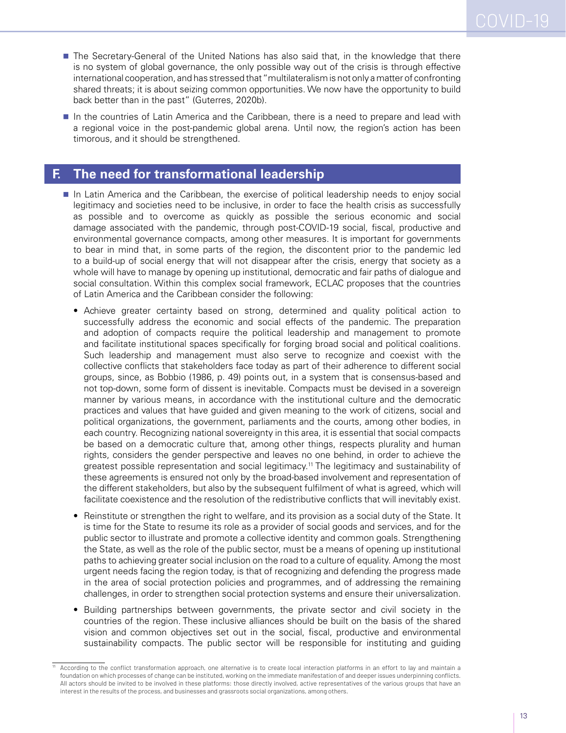- **The Secretary-General of the United Nations has also said that, in the knowledge that there** is no system of global governance, the only possible way out of the crisis is through effective international cooperation, and has stressed that "multilateralism is not only a matter of confronting shared threats; it is about seizing common opportunities. We now have the opportunity to build back better than in the past" (Guterres, 2020b).
- In the countries of Latin America and the Caribbean, there is a need to prepare and lead with a regional voice in the post-pandemic global arena. Until now, the region's action has been timorous, and it should be strengthened.

#### **F. The need for transformational leadership**

- In Latin America and the Caribbean, the exercise of political leadership needs to enjoy social legitimacy and societies need to be inclusive, in order to face the health crisis as successfully as possible and to overcome as quickly as possible the serious economic and social damage associated with the pandemic, through post-COVID-19 social, fiscal, productive and environmental governance compacts, among other measures. It is important for governments to bear in mind that, in some parts of the region, the discontent prior to the pandemic led to a build-up of social energy that will not disappear after the crisis, energy that society as a whole will have to manage by opening up institutional, democratic and fair paths of dialogue and social consultation. Within this complex social framework, ECLAC proposes that the countries of Latin America and the Caribbean consider the following:
	- Achieve greater certainty based on strong, determined and quality political action to successfully address the economic and social effects of the pandemic. The preparation and adoption of compacts require the political leadership and management to promote and facilitate institutional spaces specifically for forging broad social and political coalitions. Such leadership and management must also serve to recognize and coexist with the collective conflicts that stakeholders face today as part of their adherence to different social groups, since, as Bobbio (1986, p. 49) points out, in a system that is consensus-based and not top-down, some form of dissent is inevitable. Compacts must be devised in a sovereign manner by various means, in accordance with the institutional culture and the democratic practices and values that have guided and given meaning to the work of citizens, social and political organizations, the government, parliaments and the courts, among other bodies, in each country. Recognizing national sovereignty in this area, it is essential that social compacts be based on a democratic culture that, among other things, respects plurality and human rights, considers the gender perspective and leaves no one behind, in order to achieve the greatest possible representation and social legitimacy.11 The legitimacy and sustainability of these agreements is ensured not only by the broad-based involvement and representation of the different stakeholders, but also by the subsequent fulfilment of what is agreed, which will facilitate coexistence and the resolution of the redistributive conflicts that will inevitably exist.
	- Reinstitute or strengthen the right to welfare, and its provision as a social duty of the State. It is time for the State to resume its role as a provider of social goods and services, and for the public sector to illustrate and promote a collective identity and common goals. Strengthening the State, as well as the role of the public sector, must be a means of opening up institutional paths to achieving greater social inclusion on the road to a culture of equality. Among the most urgent needs facing the region today, is that of recognizing and defending the progress made in the area of social protection policies and programmes, and of addressing the remaining challenges, in order to strengthen social protection systems and ensure their universalization.
	- Building partnerships between governments, the private sector and civil society in the countries of the region. These inclusive alliances should be built on the basis of the shared vision and common objectives set out in the social, fiscal, productive and environmental sustainability compacts. The public sector will be responsible for instituting and guiding

According to the conflict transformation approach, one alternative is to create local interaction platforms in an effort to lay and maintain a foundation on which processes of change can be instituted, working on the immediate manifestation of and deeper issues underpinning conflicts. All actors should be invited to be involved in these platforms: those directly involved, active representatives of the various groups that have an interest in the results of the process, and businesses and grassroots social organizations, among others.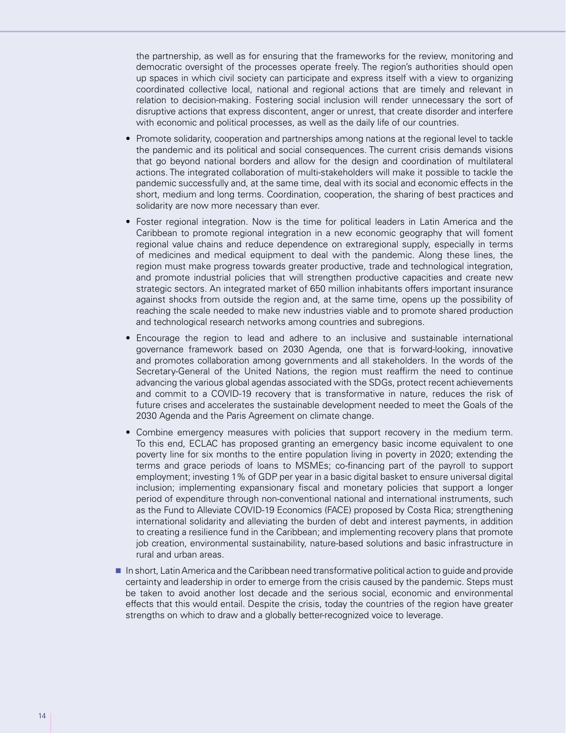the partnership, as well as for ensuring that the frameworks for the review, monitoring and democratic oversight of the processes operate freely. The region's authorities should open up spaces in which civil society can participate and express itself with a view to organizing coordinated collective local, national and regional actions that are timely and relevant in relation to decision-making. Fostering social inclusion will render unnecessary the sort of disruptive actions that express discontent, anger or unrest, that create disorder and interfere with economic and political processes, as well as the daily life of our countries.

- Promote solidarity, cooperation and partnerships among nations at the regional level to tackle the pandemic and its political and social consequences. The current crisis demands visions that go beyond national borders and allow for the design and coordination of multilateral actions. The integrated collaboration of multi-stakeholders will make it possible to tackle the pandemic successfully and, at the same time, deal with its social and economic effects in the short, medium and long terms. Coordination, cooperation, the sharing of best practices and solidarity are now more necessary than ever.
- Foster regional integration. Now is the time for political leaders in Latin America and the Caribbean to promote regional integration in a new economic geography that will foment regional value chains and reduce dependence on extraregional supply, especially in terms of medicines and medical equipment to deal with the pandemic. Along these lines, the region must make progress towards greater productive, trade and technological integration, and promote industrial policies that will strengthen productive capacities and create new strategic sectors. An integrated market of 650 million inhabitants offers important insurance against shocks from outside the region and, at the same time, opens up the possibility of reaching the scale needed to make new industries viable and to promote shared production and technological research networks among countries and subregions.
- Encourage the region to lead and adhere to an inclusive and sustainable international governance framework based on 2030 Agenda, one that is forward-looking, innovative and promotes collaboration among governments and all stakeholders. In the words of the Secretary-General of the United Nations, the region must reaffirm the need to continue advancing the various global agendas associated with the SDGs, protect recent achievements and commit to a COVID-19 recovery that is transformative in nature, reduces the risk of future crises and accelerates the sustainable development needed to meet the Goals of the 2030 Agenda and the Paris Agreement on climate change.
- Combine emergency measures with policies that support recovery in the medium term. To this end, ECLAC has proposed granting an emergency basic income equivalent to one poverty line for six months to the entire population living in poverty in 2020; extending the terms and grace periods of loans to MSMEs; co-financing part of the payroll to support employment; investing 1% of GDP per year in a basic digital basket to ensure universal digital inclusion; implementing expansionary fiscal and monetary policies that support a longer period of expenditure through non-conventional national and international instruments, such as the Fund to Alleviate COVID-19 Economics (FACE) proposed by Costa Rica; strengthening international solidarity and alleviating the burden of debt and interest payments, in addition to creating a resilience fund in the Caribbean; and implementing recovery plans that promote job creation, environmental sustainability, nature-based solutions and basic infrastructure in rural and urban areas.
- In short, Latin America and the Caribbean need transformative political action to guide and provide certainty and leadership in order to emerge from the crisis caused by the pandemic. Steps must be taken to avoid another lost decade and the serious social, economic and environmental effects that this would entail. Despite the crisis, today the countries of the region have greater strengths on which to draw and a globally better-recognized voice to leverage.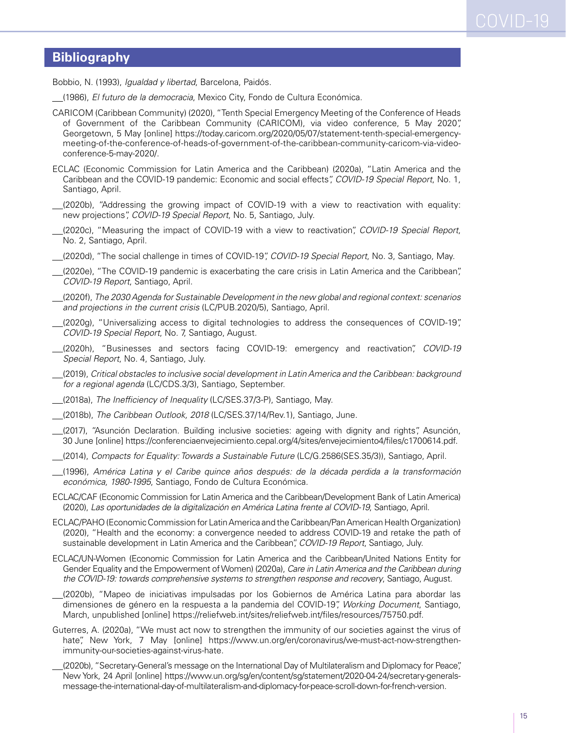#### **Bibliography**

Bobbio, N. (1993), *Igualdad y libertad*, Barcelona, Paidós.

- (1986), *El futuro de la democracia*, Mexico City, Fondo de Cultura Económica.
- CARICOM (Caribbean Community) (2020), "Tenth Special Emergency Meeting of the Conference of Heads of Government of the Caribbean Community (CARICOM), via video conference, 5 May 2020", Georgetown, 5 May [online] https://today.caricom.org/2020/05/07/statement-tenth-special-emergencymeeting-of-the-conference-of-heads-of-government-of-the-caribbean-community-caricom-via-videoconference-5-may-2020/.
- ECLAC (Economic Commission for Latin America and the Caribbean) (2020a), "Latin America and the Caribbean and the COVID-19 pandemic: Economic and social effects", *COVID-19 Special Report*, No. 1, Santiago, April.
- (2020b), "Addressing the growing impact of COVID-19 with a view to reactivation with equality: new projections", *COVID-19 Special Report*, No. 5, Santiago, July.
- (2020c), "Measuring the impact of COVID-19 with a view to reactivation", *COVID-19 Special Report*, No. 2, Santiago, April.
	- (2020d), "The social challenge in times of COVID-19", *COVID-19 Special Report*, No. 3, Santiago, May.
- (2020e), "The COVID-19 pandemic is exacerbating the care crisis in Latin America and the Caribbean", *COVID-19 Report*, Santiago, April.
- (2020f), *The 2030 Agenda for Sustainable Development in the new global and regional context: scenarios and projections in the current crisis* (LC/PUB.2020/5), Santiago, April.
- (2020g), "Universalizing access to digital technologies to address the consequences of COVID-19", *COVID-19 Special Report*, No. 7, Santiago, August.
- (2020h), "Businesses and sectors facing COVID-19: emergency and reactivation", *COVID-19 Special Report*, No. 4, Santiago, July.
- (2019), *Critical obstacles to inclusive social development in Latin America and the Caribbean: background for a regional agenda* (LC/CDS.3/3), Santiago, September.
- (2018a), *The Inefficiency of Inequality* (LC/SES.37/3-P), Santiago, May.
- (2018b), *The Caribbean Outlook, 2018* (LC/SES.37/14/Rev.1), Santiago, June.
- (2017), "Asunción Declaration. Building inclusive societies: ageing with dignity and rights", Asunción, 30 June [online] https://conferenciaenvejecimiento.cepal.org/4/sites/envejecimiento4/files/c1700614.pdf.
- (2014), *Compacts for Equality: Towards a Sustainable Future* (LC/G.2586(SES.35/3)), Santiago, April.
- (1996), *América Latina y el Caribe quince años después: de la década perdida a la transformación económica, 1980-1995*, Santiago, Fondo de Cultura Económica.
- ECLAC/CAF (Economic Commission for Latin America and the Caribbean/Development Bank of Latin America) (2020), *Las oportunidades de la digitalización en América Latina frente al COVID-19*, Santiago, April.
- ECLAC/PAHO (Economic Commission for Latin America and the Caribbean/Pan American Health Organization) (2020), "Health and the economy: a convergence needed to address COVID-19 and retake the path of sustainable development in Latin America and the Caribbean", *COVID-19 Report*, Santiago, July.
- ECLAC/UN-Women (Economic Commission for Latin America and the Caribbean/United Nations Entity for Gender Equality and the Empowerment of Women) (2020a), *Care in Latin America and the Caribbean during the COVID-19: towards comprehensive systems to strengthen response and recovery*, Santiago, August.
- (2020b), "Mapeo de iniciativas impulsadas por los Gobiernos de América Latina para abordar las dimensiones de género en la respuesta a la pandemia del COVID-19", *Working Document*, Santiago, March, unpublished [online] https://reliefweb.int/sites/reliefweb.int/files/resources/75750.pdf.
- Guterres, A. (2020a), "We must act now to strengthen the immunity of our societies against the virus of hate", New York, 7 May [online] https://www.un.org/en/coronavirus/we-must-act-now-strengthenimmunity-our-societies-against-virus-hate.
- (2020b), "Secretary-General's message on the International Day of Multilateralism and Diplomacy for Peace", New York, 24 April [online] https://www.un.org/sg/en/content/sg/statement/2020-04-24/secretary-generalsmessage-the-international-day-of-multilateralism-and-diplomacy-for-peace-scroll-down-for-french-version.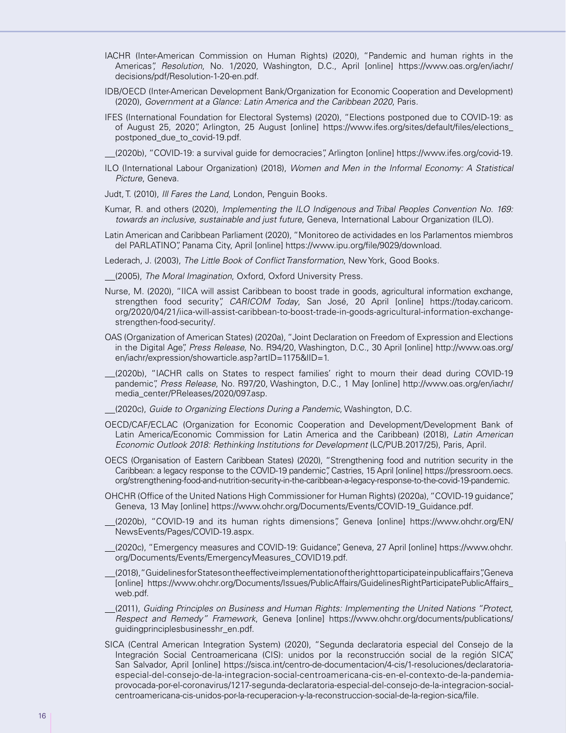- IACHR (Inter-American Commission on Human Rights) (2020), "Pandemic and human rights in the Americas", *Resolution*, No. 1/2020, Washington, D.C., April [online] https://www.oas.org/en/iachr/ decisions/pdf/Resolution-1-20-en.pdf.
- IDB/OECD (Inter-American Development Bank/Organization for Economic Cooperation and Development) (2020), *Government at a Glance: Latin America and the Caribbean 2020*, Paris.
- IFES (International Foundation for Electoral Systems) (2020), "Elections postponed due to COVID-19: as of August 25, 2020", Arlington, 25 August [online] https://www.ifes.org/sites/default/files/elections\_ postponed\_due\_to\_covid-19.pdf.
- (2020b), "COVID-19: a survival guide for democracies", Arlington [online] https://www.ifes.org/covid-19.
- ILO (International Labour Organization) (2018), *Women and Men in the Informal Economy: A Statistical Picture*, Geneva.
- Judt, T. (2010), *Ill Fares the Land*, London, Penguin Books.
- Kumar, R. and others (2020), *Implementing the ILO Indigenous and Tribal Peoples Convention No. 169: towards an inclusive, sustainable and just future*, Geneva, International Labour Organization (ILO).
- Latin American and Caribbean Parliament (2020), "Monitoreo de actividades en los Parlamentos miembros del PARLATINO", Panama City, April [online] https://www.ipu.org/file/9029/download.
- Lederach, J. (2003), *The Little Book of Conflict Transformation*, New York, Good Books.
- (2005), *The Moral Imagination*, Oxford, Oxford University Press.
- Nurse, M. (2020), "IICA will assist Caribbean to boost trade in goods, agricultural information exchange, strengthen food security", *CARICOM Today*, San José, 20 April [online] https://today.caricom. org/2020/04/21/iica-will-assist-caribbean-to-boost-trade-in-goods-agricultural-information-exchangestrengthen-food-security/.
- OAS (Organization of American States) (2020a), "Joint Declaration on Freedom of Expression and Elections in the Digital Age", *Press Release*, No. R94/20, Washington, D.C., 30 April [online] http://www.oas.org/ en/iachr/expression/showarticle.asp?artID=1175&lID=1.
- (2020b), "IACHR calls on States to respect families' right to mourn their dead during COVID-19 pandemic", *Press Release*, No. R97/20, Washington, D.C., 1 May [online] http://www.oas.org/en/iachr/ media\_center/PReleases/2020/097.asp.
- (2020c), *Guide to Organizing Elections During a Pandemic*, Washington, D.C.
- OECD/CAF/ECLAC (Organization for Economic Cooperation and Development/Development Bank of Latin America/Economic Commission for Latin America and the Caribbean) (2018), *Latin American Economic Outlook 2018: Rethinking Institutions for Development* (LC/PUB.2017/25), Paris, April.
- OECS (Organisation of Eastern Caribbean States) (2020), "Strengthening food and nutrition security in the Caribbean: a legacy response to the COVID-19 pandemic", Castries, 15 April [online] https://pressroom.oecs. org/strengthening-food-and-nutrition-security-in-the-caribbean-a-legacy-response-to-the-covid-19-pandemic.
- OHCHR (Office of the United Nations High Commissioner for Human Rights) (2020a), "COVID-19 guidance", Geneva, 13 May [online] https://www.ohchr.org/Documents/Events/COVID-19\_Guidance.pdf.
- (2020b), "COVID-19 and its human rights dimensions", Geneva [online] https://www.ohchr.org/EN/ NewsEvents/Pages/COVID-19.aspx.
- (2020c), "Emergency measures and COVID-19: Guidance", Geneva, 27 April [online] https://www.ohchr. org/Documents/Events/EmergencyMeasures\_COVID19.pdf.
- (2018), "Guidelines for States on the effective implementation of the right to participate in public affairs", Geneva [online] https://www.ohchr.org/Documents/Issues/PublicAffairs/GuidelinesRightParticipatePublicAffairs\_ web.pdf.
- (2011), *Guiding Principles on Business and Human Rights: Implementing the United Nations "Protect, Respect and Remedy" Framework*, Geneva [online] https://www.ohchr.org/documents/publications/ guidingprinciplesbusinesshr\_en.pdf.
- SICA (Central American Integration System) (2020), "Segunda declaratoria especial del Consejo de la Integración Social Centroamericana (CIS): unidos por la reconstrucción social de la región SICA", San Salvador, April [online] https://sisca.int/centro-de-documentacion/4-cis/1-resoluciones/declaratoriaespecial-del-consejo-de-la-integracion-social-centroamericana-cis-en-el-contexto-de-la-pandemiaprovocada-por-el-coronavirus/1217-segunda-declaratoria-especial-del-consejo-de-la-integracion-socialcentroamericana-cis-unidos-por-la-recuperacion-y-la-reconstruccion-social-de-la-region-sica/file.